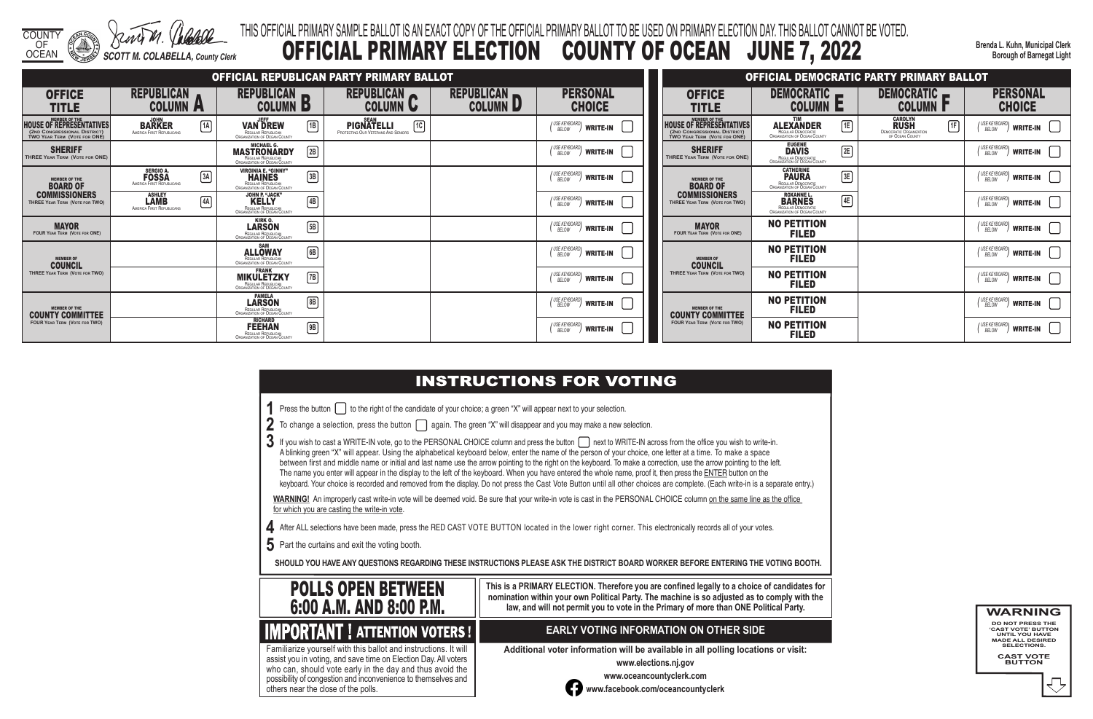COUNTY

OF OCEAN *SCOTT M. COLABELLA, County Clerk* **Brenda L. Kuhn, Municipal Clerk Borough of Barnegat Light**

# THIS OFFICIAL PRIMARY SAMPLE BALLOT IS AN EXACT COPY OF THE OFFICIAL PRIMARY BALLOT TO BE USED ON PRIMARY ELECTION DAY. THIS BALLOT CANNOT BE VOTED. OFFICIAL PRIMARY ELECTION COUNTY OF OCEAN JUNE 7, 2022

 $3$  If you wish to cast a WRITE-IN vote, go to the PERSONAL CHOICE column and press the button  $\Box$  next to WRITE-IN across from the office you wish to write-in. A blinking green "X" will appear. Using the alphabetical keyboard below, enter the name of the person of your choice, one letter at a time. To make a space between first and middle name or initial and last name use the arrow pointing to the right on the keyboard. To make a correction, use the arrow pointing to the left. The name you enter will appear in the display to the left of the keyboard. When you have entered the whole name, proof it, then press the ENTER button on the keyboard. Your choice is recorded and removed from the display. Do not press the Cast Vote Button until all other choices are complete. (Each write-in is a separate entry.)

WARNING! An improperly cast write-in vote will be deemed void. Be sure that your write-in vote is cast in the PERSONAL CHOICE column on the same line as the office for which you are casting the write-in vote.

**4** After ALL selections have been made, press the RED CAST VOTE BUTTON located in the lower right corner. This electronically records all of your votes.

**5** Part the curtains and exit the voting booth.

**SHOULD YOU HAVE ANY QUESTIONS REGARDING THESE INSTRUCTIONS PLEASE ASK THE DISTRICT BOARD WORKER BEFORE ENTERING THE VOTING BOOTH.**

**This is a PRIMARY ELECTION. Therefore you are confined legally to a choice of candidates for nomination within your own Political Party. The machine is so adjusted as to comply with the law, and will not permit you to vote in the Primary of more than ONE Political Party.**

 assist you in voting, and save time on Election Day. All voters Familiarize yourself with this ballot and instructions. It will who can, should vote early in the day and thus avoid the possibility of congestion and inconvenience to themselves and others near the close of the polls.

## **EARLY VOTING INFORMATION ON OTHER SIDE**

**Additional voter information will be available in all polling locations or visit:**

**www.elections.nj.gov** 



**www.oceancountyclerk.com <sup>w</sup>ww.facebook.com/oceancountyclerk**

**WARNING** 

**DO NOT PRESS THE 'CAST VOTE' BUTTON UNTIL YOU HAVE MADE ALL DESIRED SELECTIONS.** 

**CAST VOTE BUTTON**



# **IMPORTANT ! ATTENTION VOTERS !**

|                                                                                                                         |                                                                          |                                                                                                                   | OFFICIAL REPUBLICAN PARTY PRIMARY BALLOT                                                   |                                      |                                                    |                                                                                                                         |
|-------------------------------------------------------------------------------------------------------------------------|--------------------------------------------------------------------------|-------------------------------------------------------------------------------------------------------------------|--------------------------------------------------------------------------------------------|--------------------------------------|----------------------------------------------------|-------------------------------------------------------------------------------------------------------------------------|
| <b>OFFICE</b><br><b>TITLE</b>                                                                                           | <b>REPUBLICAN</b><br><b>COLUMN</b><br>$\sqrt{2}$                         | <b>REPUBLICAN</b><br><b>COLUMN</b><br>P                                                                           | <b>REPUBLICAN</b><br><b>COLUMN</b><br>U                                                    | <b>REPUBLICAN</b><br><b>COLUMN L</b> | <b>PERSONAL</b><br><b>CHOICE</b>                   | <b>OFFICE</b><br><b>TITLE</b>                                                                                           |
| <b>MEMBER OF THE</b><br><b>HOUSE OF REPRESENTATIVES</b><br>(2ND CONGRESSIONAL DISTRICT)<br>TWO YEAR TERM (VOTE FOR ONE) | <b>JOHN</b><br>$\sqrt{1A}$<br><b>BARKER</b><br>AMERICA FIRST REPUBLICANS | <b>JEFF</b><br> 1B <br><b>VAN DREW</b><br>REGULAR REPUBLICAN<br>ORGANIZATION OF OCEAN COUNTY                      | <b>SEAN</b><br>$\overline{10}$<br><b>PIGNATELLI</b><br>PROTECTING OUR VETERANS AND SENIORS |                                      | (USE KEYBOARD)<br><b>WRITE-IN</b>                  | <b>MEMBER OF THE</b><br><b>HOUSE OF REPRESENTATIVES</b><br>(2ND CONGRESSIONAL DISTRICT)<br>TWO YEAR TERM (VOTE FOR ONE) |
| <b>SHERIFF</b><br>THREE YEAR TERM (VOTE FOR ONE)                                                                        |                                                                          | <b>MICHAEL G.</b><br>$\boxed{2B}$<br><b>MASTRONARDY</b><br>REGULAR REPUBLICAN<br>ORGANIZATION OF OCEAN COUNTY     |                                                                                            |                                      | (USE KEYBOARD)<br><b>WRITE-IN</b>                  | <b>SHERIFF</b><br>THREE YEAR TERM (VOTE FOR ONE)                                                                        |
| <b>MEMBER OF THE</b><br><b>BOARD OF</b>                                                                                 | <b>SERGIO A.</b><br>3A<br><b>FOSSA</b><br>AMERICA FIRST REPUBLICANS      | <b>VIRGINIA E. "GINNY"</b><br>$\boxed{3B}$<br><b>HAINES</b><br>REGULAR REPUBLICAN<br>ORGANIZATION OF OCEAN COUNTY |                                                                                            |                                      | / USE KEYBOARD<br><b>WRITE-IN</b><br>BELOW         | <b>MEMBER OF THE</b><br><b>BOARD OF</b>                                                                                 |
| <b>COMMISSIONERS</b><br>THREE YEAR TERM (VOTE FOR TWO)                                                                  | <b>ASHLEY</b><br>[4A]<br><b>LAMB</b><br>AMERICA FIRST REPUBLICANS        | JOHN P. "JACK"<br>$\boxed{4B}$<br><b>KELLY</b><br>REGULAR REPUBLICAN<br>ORGANIZATION OF OCEAN COUNTY              |                                                                                            |                                      | (USE KEYBOARD)<br><b>WRITE-IN</b>                  | <b>COMMISSIONERS</b><br>THREE YEAR TERM (VOTE FOR TWO)                                                                  |
| <b>MAYOR</b><br><b>FOUR YEAR TERM (VOTE FOR ONE)</b>                                                                    |                                                                          | KIRK 0.<br>$\sqrt{5B}$<br><b>LARSON</b><br><b>REGULAR REPUBLICAN</b><br>ORGANIZATION OF OCEAN COUNTY              |                                                                                            |                                      | USE KEYBOARD'<br><b>WRITE-IN</b><br>BELOW          | <b>MAYOR</b><br><b>FOUR YEAR TERM (VOTE FOR ONE)</b>                                                                    |
| <b>MEMBER OF</b><br><b>COUNCIL</b>                                                                                      |                                                                          | <b>SAM</b><br>6B<br><b>ALLOWAY</b><br>REGULAR REPUBLICAN<br>ORGANIZATION OF OCEAN COUNTY                          |                                                                                            |                                      | (USE KEYBOARD)<br><b>WRITE-IN</b><br><b>BELOW</b>  | <b>MEMBER OF</b><br><b>COUNCIL</b>                                                                                      |
| THREE YEAR TERM (VOTE FOR TWO)                                                                                          |                                                                          | <b>FRANK</b><br>$\sqrt{7B}$<br><b>MIKULETZKY</b><br>REGULAR REPUBLICAN<br>ORGANIZATION OF OCEAN COUNTY            |                                                                                            |                                      | / USE KEYBOARD<br><b>WRITE-IN</b><br>BELOW         | THREE YEAR TERM (VOTE FOR TWO)                                                                                          |
| <b>MEMBER OF THE</b><br><b>COUNTY COMMITTEE</b>                                                                         |                                                                          | <b>PAMELA</b><br>$\sqrt{8B}$<br><b>LARSON</b><br>REGULAR REPUBLICAN<br>ORGANIZATION OF OCEAN COUNTY               |                                                                                            |                                      | / USE KEYBOARD'<br><b>WRITE-IN</b><br><b>BELOW</b> | <b>MEMBER OF THE</b><br><b>COUNTY COMMITTEE</b>                                                                         |
| <b>FOUR YEAR TERM (VOTE FOR TWO)</b>                                                                                    |                                                                          | <b>RICHARD</b><br>9B<br><b>FEEHAN</b><br>REGULAR REPUBLICAN<br><b>ORGANIZATION OF OCEAN COUNTY</b>                |                                                                                            |                                      | / USE KEYBOARD<br><b>WRITE-IN</b><br>BELOW         | <b>FOUR YEAR TERM (VOTE FOR TWO)</b>                                                                                    |

# **INSTRUCTIONS FOR VOTING**

**1** Press the button  $\Box$  to the right of the candidate of your choice; a green "X" will appear next to your selection.

|  | $2\,$ To change a selection, press the button $\bigcap$ again. The green "X" will disappear and you may make a new selection. |
|--|-------------------------------------------------------------------------------------------------------------------------------|
|--|-------------------------------------------------------------------------------------------------------------------------------|

|                                                                                                      |                                                                                                       | OFFICIAL DEMOCRATIC PARTY PRIMARY BALLOT                                                 |                                                    |
|------------------------------------------------------------------------------------------------------|-------------------------------------------------------------------------------------------------------|------------------------------------------------------------------------------------------|----------------------------------------------------|
| OFFICE<br>TITLE                                                                                      | <b>DEMOCRATIC</b><br>COLUMN                                                                           | <b>DEMOCRATIC</b><br><b>COLUMN</b>                                                       | <b>PERSONAL</b><br><b>CHOICE</b>                   |
| <b>MEMBER OF THE</b><br>OF REPRESENTATIVES<br>ONGRESSIONAL DISTRICT)<br>$\,$ ear Term (Vote for ONE) | <b>TIM</b><br>1E<br><b>ALEXANDER</b><br>REGULAR DEMOCRATIC<br>ORGANIZATION OF OCEAN COUNTY            | <b>CAROLYN</b><br><b>RUSH</b><br>1F<br><b>DEMOCRATIC ORGANIZATION</b><br>OF OCEAN COUNTY | ' USE KEYBOARD)<br><b>WRITE-IN</b><br>BELOW        |
| <b>SHERIFF</b><br><b>EAR TERM (VOTE FOR ONE)</b>                                                     | <b>EUGENE</b><br> 2E <br><b>DAVIS</b><br>REGULAR DEMOCRATIC<br>ORGANIZATION OF OCEAN COUNTY           |                                                                                          | I USE KEYBOARD'<br><b>WRITE-IN</b><br><b>BELOW</b> |
| <b>MEMBER OF THE</b><br><b>BOARD OF</b>                                                              | <b>CATHERINE</b><br>3E<br><b>PAURA</b><br>REGULAR DEMOCRATIC<br>ORGANIZATION OF OCEAN COUNTY          |                                                                                          | ' USE KEYBOARD'<br><b>WRITE-IN</b><br><b>BELOW</b> |
| <b>MMISSIONERS</b><br>YEAR TERM (VOTE FOR TWO)                                                       | <b>ROXANNE L.</b><br>4E<br><b>BARNES</b><br>REGULAR DEMOCRATIC<br><b>ORGANIZATION OF OCEAN COUNTY</b> |                                                                                          | I USE KEYBOARD'<br><b>WRITE-IN</b><br><b>BELOW</b> |
| <b>MAYOR</b><br>YEAR TERM (VOTE FOR ONE)                                                             | <b>NO PETITION</b><br><b>FILED</b>                                                                    |                                                                                          | ' USE KEYBOARD'<br><b>WRITE-IN</b><br><b>BELOW</b> |
| <b>MEMBER OF</b><br><b>COUNCIL</b>                                                                   | <b>NO PETITION</b><br><b>FILED</b>                                                                    |                                                                                          | USE KEYBOARD'<br><b>WRITE-IN</b><br><b>BELOW</b>   |
| YEAR TERM (VOTE FOR TWO)                                                                             | <b>NO PETITION</b><br><b>FILED</b>                                                                    |                                                                                          | ' USE KEYBOARD'<br><b>WRITE-IN</b><br><b>BELOW</b> |
| <b>MEMBER OF THE</b><br>NTY COMMITTEE                                                                | <b>NO PETITION</b><br><b>FILED</b>                                                                    |                                                                                          | (USE KEYBOARD)<br><b>WRITE-IN</b><br><b>BELOW</b>  |
| <b>EAR TERM (VOTE FOR TWO)</b>                                                                       | <b>NO PETITION</b><br><b>FILED</b>                                                                    |                                                                                          | I USE KEYBOARD'<br><b>WRITE-IN</b><br>BELOW        |

- 
- 
- 
-